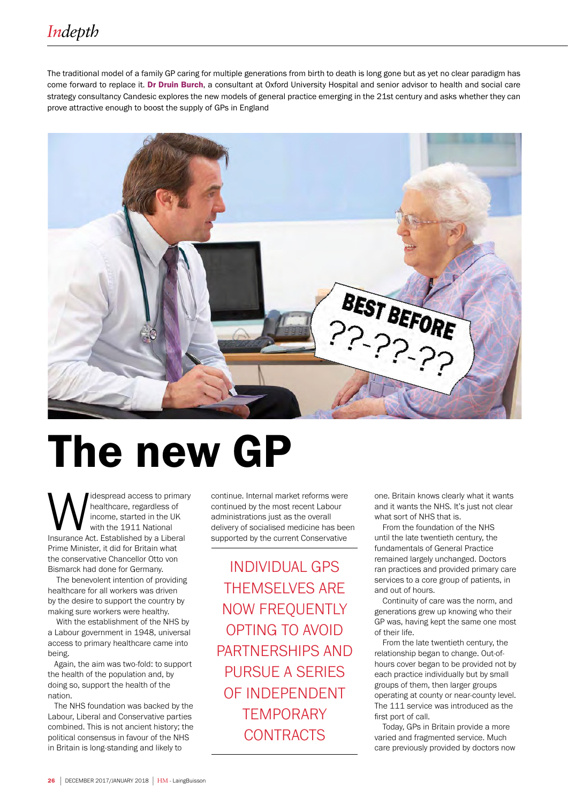The traditional model of a family GP caring for multiple generations from birth to death is long gone but as yet no clear paradigm has come forward to replace it. Dr Druin Burch, a consultant at Oxford University Hospital and senior advisor to health and social care strategy consultancy Candesic explores the new models of general practice emerging in the 21st century and asks whether they can prove attractive enough to boost the supply of GPs in England



# The new GP

**M** idespread access to primary<br>
healthcare, regardless of<br>
income, started in the UK<br>
Insurance Act. Established by a Liberal healthcare, regardless of income, started in the UK with the 1911 National Prime Minister, it did for Britain what the conservative Chancellor Otto von Bismarck had done for Germany.

 The benevolent intention of providing healthcare for all workers was driven by the desire to support the country by making sure workers were healthy.

 With the establishment of the NHS by a Labour government in 1948, universal access to primary healthcare came into being.

 Again, the aim was two-fold: to support the health of the population and, by doing so, support the health of the nation.

 The NHS foundation was backed by the Labour, Liberal and Conservative parties combined. This is not ancient history; the political consensus in favour of the NHS in Britain is long-standing and likely to

continue. Internal market reforms were continued by the most recent Labour administrations just as the overall delivery of socialised medicine has been supported by the current Conservative

INDIVIDUAL GPS THEMSELVES ARE NOW FREQUENTLY OPTING TO AVOID PARTNERSHIPS AND PURSUE A SERIES OF INDEPENDENT **TEMPORARY CONTRACTS** 

one. Britain knows clearly what it wants and it wants the NHS. It's just not clear what sort of NHS that is.

From the foundation of the NHS until the late twentieth century, the fundamentals of General Practice remained largely unchanged. Doctors ran practices and provided primary care services to a core group of patients, in and out of hours.

Continuity of care was the norm, and generations grew up knowing who their GP was, having kept the same one most of their life.

From the late twentieth century, the relationship began to change. Out-ofhours cover began to be provided not by each practice individually but by small groups of them, then larger groups operating at county or near-county level. The 111 service was introduced as the first port of call.

Today, GPs in Britain provide a more varied and fragmented service. Much care previously provided by doctors now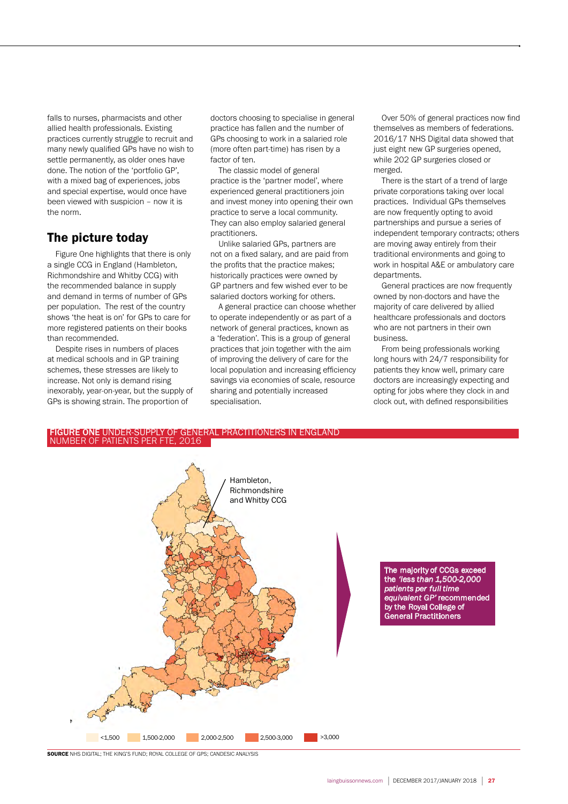falls to nurses, pharmacists and other allied health professionals. Existing practices currently struggle to recruit and many newly qualified GPs have no wish to settle permanently, as older ones have done. The notion of the 'portfolio GP', with a mixed bag of experiences, jobs and special expertise, would once have been viewed with suspicion – now it is the norm.

#### The picture today

Figure One highlights that there is only a single CCG in England (Hambleton, Richmondshire and Whitby CCG) with the recommended balance in supply and demand in terms of number of GPs per population. The rest of the country shows 'the heat is on' for GPs to care for more registered patients on their books than recommended.

Despite rises in numbers of places at medical schools and in GP training schemes, these stresses are likely to increase. Not only is demand rising inexorably, year-on-year, but the supply of GPs is showing strain. The proportion of

doctors choosing to specialise in general practice has fallen and the number of GPs choosing to work in a salaried role (more often part-time) has risen by a factor of ten.

The classic model of general practice is the 'partner model', where experienced general practitioners join and invest money into opening their own practice to serve a local community. They can also employ salaried general practitioners.

Unlike salaried GPs, partners are not on a fixed salary, and are paid from the profits that the practice makes; historically practices were owned by GP partners and few wished ever to be salaried doctors working for others.

A general practice can choose whether to operate independently or as part of a network of general practices, known as a 'federation'. This is a group of general practices that join together with the aim of improving the delivery of care for the local population and increasing efficiency savings via economies of scale, resource sharing and potentially increased specialisation.

Over 50% of general practices now find themselves as members of federations. 2016/17 NHS Digital data showed that just eight new GP surgeries opened, while 202 GP surgeries closed or merged.

There is the start of a trend of large private corporations taking over local practices. Individual GPs themselves are now frequently opting to avoid partnerships and pursue a series of independent temporary contracts; others are moving away entirely from their traditional environments and going to work in hospital A&E or ambulatory care departments.

General practices are now frequently owned by non-doctors and have the majority of care delivered by allied healthcare professionals and doctors who are not partners in their own business.

From being professionals working long hours with 24/7 responsibility for patients they know well, primary care doctors are increasingly expecting and opting for jobs where they clock in and clock out, with defined responsibilities

## FIGURE ONE UNDER-SUPPLY OF GENERAL PRACTITIONERS IN ENGLAND<br>NUMBER OF PATIENTS PER FTE, 2016



**SOURCE** NHS DIGITAL: THE KING'S FUND: ROYAL COLLEGE OF GPS: CANDESIC ANALYSIS